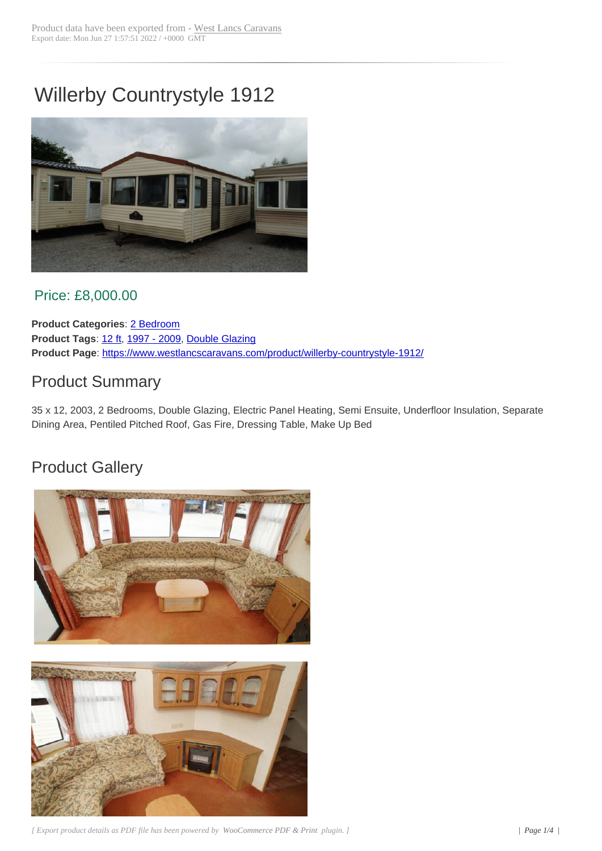## Willerby Countrystyle 1912



## Price: £8,000.00

**Product Categories**: 2 Bedroom **Product Tags**: 12 ft, 1997 - 2009, Double Glazing **Product Page**: https://www.westlancscaravans.com/product/willerby-countrystyle-1912/

## Product [Sum](https://www.westlancscaravans.com/product-tag/12-ft/)[m](https://www.westlancscaravans.com/product-tag/1997-2009/)[ary](https://www.westlancscaravans.com/product-category/caravans/2-bedroom/)

35 x 12, 2003, [2 Bedrooms, Double Glazing, Electric Panel Heating, Semi Ensuite, Unde](https://www.westlancscaravans.com/product/willerby-countrystyle-1912/)rfloor Insulation, Separate Dining Area, Pentiled Pitched Roof, Gas Fire, Dressing Table, Make Up Bed

## Product Gallery





*[ Export product details as PDF file has been powered by WooCommerce PDF & Print plugin. ] | Page 1/4 |*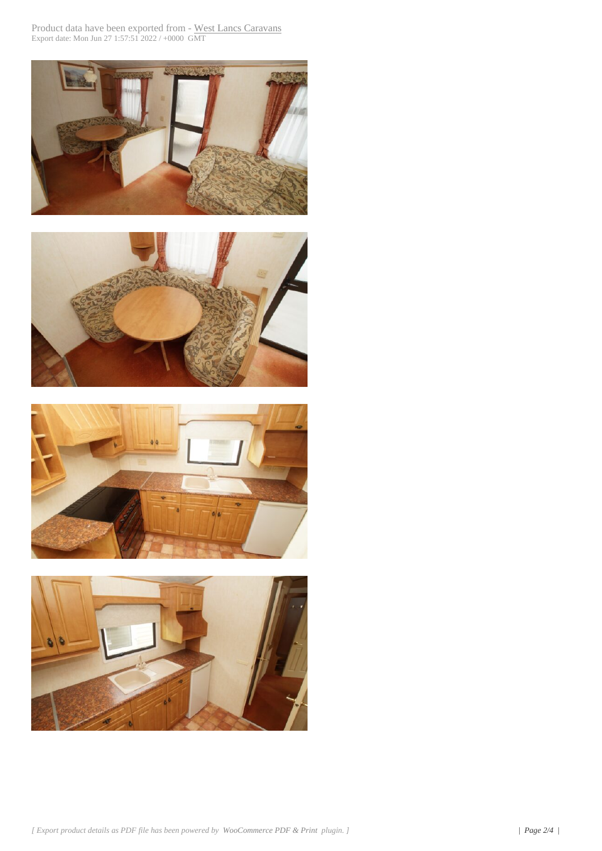





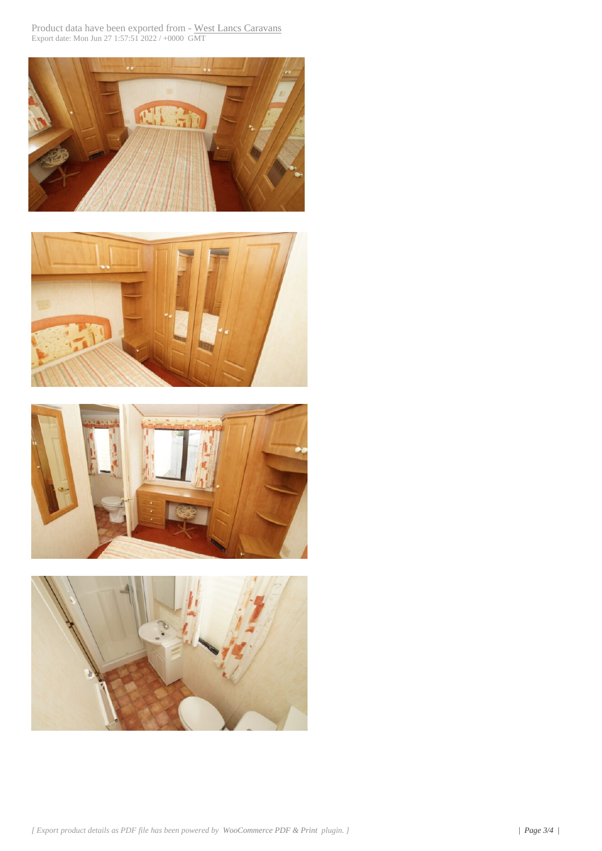